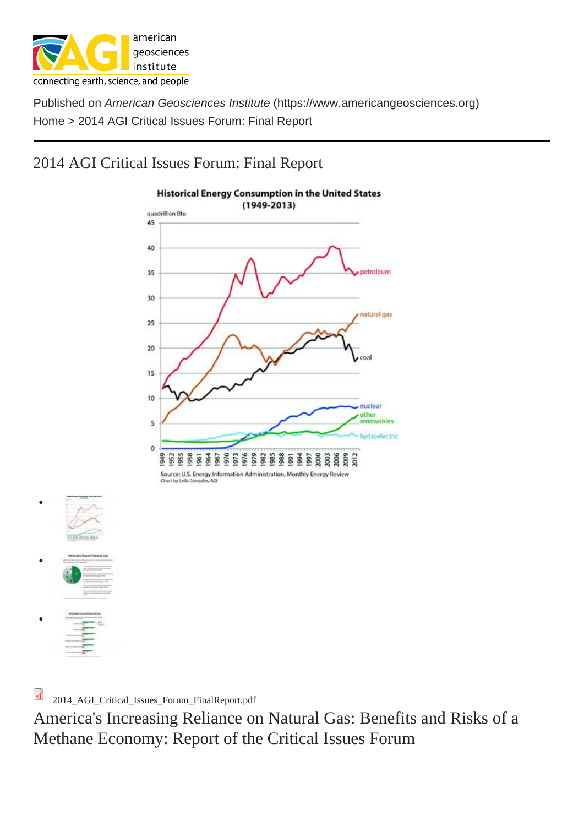[2014](https://www.americangeosciences.org/) AGI Critical Issues Forum: Fi[nal Report](https://www.americangeosciences.org)

2014\_AGI\_Critical\_Issues\_Forum\_FinalReport.pdf

America's Increasing Reliance on Natural Gas: Benefits and Risks of a M[ethane Economy: Report of](https://www.americangeosciences.org/sites/default/files/critical-issues/factsheets/2014_AGI_Critical_Issues_Forum_FinalReport.pdf) the Critical Issues Forum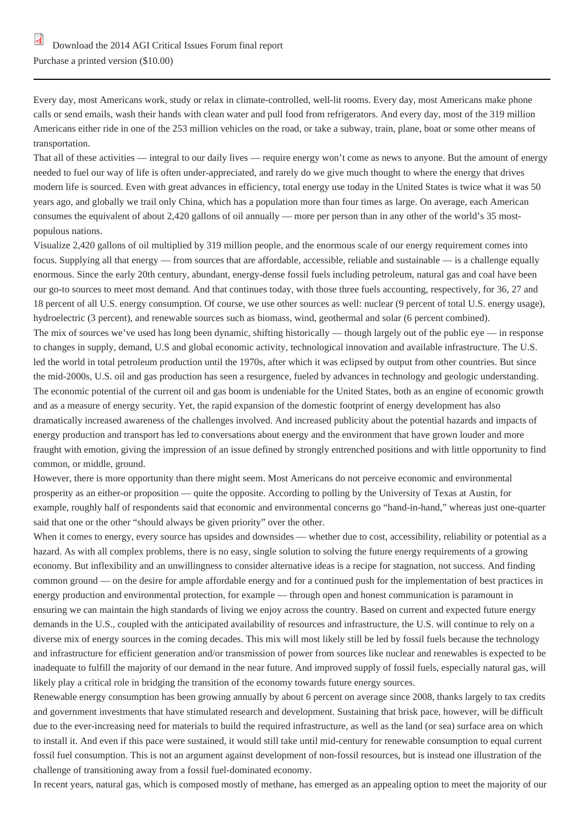Eve[ry day, most Americans work, study or relax in climate](https://www.americangeosciences.org/sites/default/files/critical-issues/factsheets/2014_AGI_Critical_Issues_Forum_FinalReport.pdf)-controlled, well-lit rooms. Every day, most Americans make phone [calls or send emails, wash their h](https://www.amazon.com/Americas-Increasing-Reliance-Natural-Gas/dp/1508843503)ands with clean water and pull food from refrigerators. And every day, most of the 319 million Americans either ride in one of the 253 million vehicles on the road, or take a subway, train, plane, boat or some other means of transportation.

That all of these activities — integral to our daily lives — require energy won't come as news to anyone. But the amount of energy needed to fuel our way of life is often under-appreciated, and rarely do we give much thought to where the energy that drives modern life is sourced. Even with great advances in efficiency, total energy use today in the United States is twice what it was 50 years ago, and globally we trail only China, which has a population more than four times as large. On average, each American consumes the equivalent of about 2,420 gallons of oil annually — more per person than in any other of the world's 35 mostpopulous nations.

Visualize 2,420 gallons of oil multiplied by 319 million people, and the enormous scale of our energy requirement comes into focus. Supplying all that energy — from sources that are affordable, accessible, reliable and sustainable — is a challenge equally enormous. Since the early 20th century, abundant, energy-dense fossil fuels including petroleum, natural gas and coal have been our go-to sources to meet most demand. And that continues today, with those three fuels accounting, respectively, for 36, 27 and 18 percent of all U.S. energy consumption. Of course, we use other sources as well: nuclear (9 percent of total U.S. energy usage), hydroelectric (3 percent), and renewable sources such as biomass, wind, geothermal and solar (6 percent combined). The mix of sources we've used has long been dynamic, shifting historically — though largely out of the public eye — in response to changes in supply, demand, U.S and global economic activity, technological innovation and available infrastructure. The U.S. led the world in total petroleum production until the 1970s, after which it was eclipsed by output from other countries. But since the mid-2000s, U.S. oil and gas production has seen a resurgence, fueled by advances in technology and geologic understanding. The economic potential of the current oil and gas boom is undeniable for the United States, both as an engine of economic growth and as a measure of energy security. Yet, the rapid expansion of the domestic footprint of energy development has also dramatically increased awareness of the challenges involved. And increased publicity about the potential hazards and impacts of energy production and transport has led to conversations about energy and the environment that have grown louder and more fraught with emotion, giving the impression of an issue defined by strongly entrenched positions and with little opportunity to find common, or middle, ground.

However, there is more opportunity than there might seem. Most Americans do not perceive economic and environmental prosperity as an either-or proposition — quite the opposite. According to polling by the University of Texas at Austin, for example, roughly half of respondents said that economic and environmental concerns go "hand-in-hand," whereas just one-quarter said that one or the other "should always be given priority" over the other.

When it comes to energy, every source has upsides and downsides — whether due to cost, accessibility, reliability or potential as a hazard. As with all complex problems, there is no easy, single solution to solving the future energy requirements of a growing economy. But inflexibility and an unwillingness to consider alternative ideas is a recipe for stagnation, not success. And finding common ground — on the desire for ample affordable energy and for a continued push for the implementation of best practices in energy production and environmental protection, for example — through open and honest communication is paramount in ensuring we can maintain the high standards of living we enjoy across the country. Based on current and expected future energy demands in the U.S., coupled with the anticipated availability of resources and infrastructure, the U.S. will continue to rely on a diverse mix of energy sources in the coming decades. This mix will most likely still be led by fossil fuels because the technology and infrastructure for efficient generation and/or transmission of power from sources like nuclear and renewables is expected to be inadequate to fulfill the majority of our demand in the near future. And improved supply of fossil fuels, especially natural gas, will likely play a critical role in bridging the transition of the economy towards future energy sources.

Renewable energy consumption has been growing annually by about 6 percent on average since 2008, thanks largely to tax credits and government investments that have stimulated research and development. Sustaining that brisk pace, however, will be difficult due to the ever-increasing need for materials to build the required infrastructure, as well as the land (or sea) surface area on which to install it. And even if this pace were sustained, it would still take until mid-century for renewable consumption to equal current fossil fuel consumption. This is not an argument against development of non-fossil resources, but is instead one illustration of the challenge of transitioning away from a fossil fuel-dominated economy.

In recent years, natural gas, which is composed mostly of methane, has emerged as an appealing option to meet the majority of our